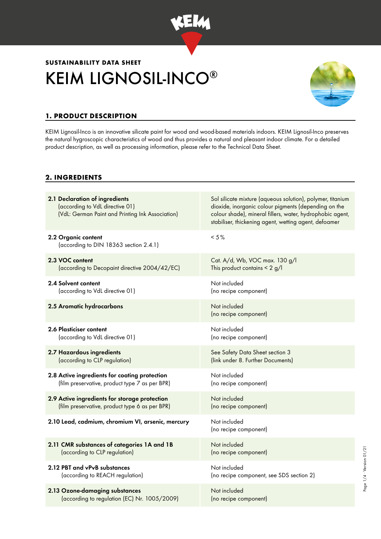

# KEIM LIGNOSIL-INCO® **SUSTAINABILITY DATA SHEET**



## **1. PRODUCT DESCRIPTION**

KEIM Lignosil-Inco is an innovative silicate paint for wood and wood-based materials indoors. KEIM Lignosil-Inco preserves the natural hygroscopic characteristics of wood and thus provides a natural and pleasant indoor climate. For a detailed product description, as well as processing information, please refer to the Technical Data Sheet.

### **2. INGREDIENTS**

| 2.1 Declaration of ingredients<br>(according to VdL directive 01)<br>(VdL: German Paint and Printing Ink Association) | Sol silicate mixture (aqueous solution), polymer, titanium<br>dioxide, inorganic colour pigments (depending on the<br>colour shade), mineral fillers, water, hydrophobic agent,<br>stabiliser, thickening agent, wetting agent, defoamer |  |  |
|-----------------------------------------------------------------------------------------------------------------------|------------------------------------------------------------------------------------------------------------------------------------------------------------------------------------------------------------------------------------------|--|--|
| 2.2 Organic content<br>(according to DIN 18363 section 2.4.1)                                                         | $< 5 \%$                                                                                                                                                                                                                                 |  |  |
| 2.3 VOC content                                                                                                       | Cat. A/d, Wb, VOC max. 130 g/l                                                                                                                                                                                                           |  |  |
| (according to Decopaint directive 2004/42/EC)                                                                         | This product contains $\leq 2$ g/l                                                                                                                                                                                                       |  |  |
| 2.4 Solvent content                                                                                                   | Not included                                                                                                                                                                                                                             |  |  |
| (according to VdL directive 01)                                                                                       | (no recipe component)                                                                                                                                                                                                                    |  |  |
| 2.5 Aromatic hydrocarbons                                                                                             | Not included<br>(no recipe component)                                                                                                                                                                                                    |  |  |
| 2.6 Plasticiser content                                                                                               | Not included                                                                                                                                                                                                                             |  |  |
| (according to VdL directive 01)                                                                                       | (no recipe component)                                                                                                                                                                                                                    |  |  |
| 2.7 Hazardous ingredients                                                                                             | See Safety Data Sheet section 3                                                                                                                                                                                                          |  |  |
| (according to CLP regulation)                                                                                         | (link under 8. Further Documents)                                                                                                                                                                                                        |  |  |
| 2.8 Active ingredients for coating protection                                                                         | Not included                                                                                                                                                                                                                             |  |  |
| (film preservative, product type 7 as per BPR)                                                                        | (no recipe component)                                                                                                                                                                                                                    |  |  |
| 2.9 Active ingredients for storage protection                                                                         | Not included                                                                                                                                                                                                                             |  |  |
| (film preservative, product type 6 as per BPR)                                                                        | (no recipe component)                                                                                                                                                                                                                    |  |  |
| 2.10 Lead, cadmium, chromium VI, arsenic, mercury                                                                     | Not included<br>(no recipe component)                                                                                                                                                                                                    |  |  |
| 2.11 CMR substances of categories 1A and 1B                                                                           | Not included                                                                                                                                                                                                                             |  |  |
| (according to CLP regulation)                                                                                         | (no recipe component)                                                                                                                                                                                                                    |  |  |
| 2.12 PBT and vPvB substances                                                                                          | Not included                                                                                                                                                                                                                             |  |  |
| (according to REACH regulation)                                                                                       | (no recipe component, see SDS section 2)                                                                                                                                                                                                 |  |  |
| 2.13 Ozone-damaging substances                                                                                        | Not included                                                                                                                                                                                                                             |  |  |
| (according to regulation (EC) Nr. 1005/2009)                                                                          | (no recipe component)                                                                                                                                                                                                                    |  |  |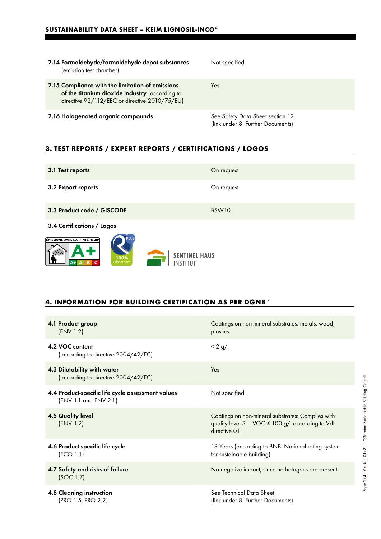| 2.14 Formaldehyde/formaldehyde depot substances<br>(emission test chamber)                                                                          | Not specified                                                         |
|-----------------------------------------------------------------------------------------------------------------------------------------------------|-----------------------------------------------------------------------|
| 2.15 Compliance with the limitation of emissions<br>of the titanium dioxide industry (according to<br>directive 92/112/EEC or directive 2010/75/EU) | Yes                                                                   |
| 2.16 Halogenated organic compounds                                                                                                                  | See Safety Data Sheet section 12<br>(link under 8. Further Documents) |

## **3. TEST REPORTS / EXPERT REPORTS / CERTIFICATIONS / LOGOS**

| 3.1 Test reports                                                                                            | On request        |  |
|-------------------------------------------------------------------------------------------------------------|-------------------|--|
| 3.2 Export reports                                                                                          | On request        |  |
| 3.3 Product code / GISCODE                                                                                  | BSW <sub>10</sub> |  |
| 3.4 Certifications / Logos                                                                                  |                   |  |
| EMISSIONS DANS L'AIR INTÉRIEUR <sup>®</sup><br><b>SENTINEL HAUS</b><br>100%<br>Ökostrom<br>INSTITUT<br>$A+$ |                   |  |

## **4. INFORMATION FOR BUILDING CERTIFICATION AS PER DGNB\***

| 4.1 Product group<br>(ENV 1.2)                                             | Coatings on non-mineral substrates: metals, wood,<br>plastics.                                                        |
|----------------------------------------------------------------------------|-----------------------------------------------------------------------------------------------------------------------|
| 4.2 VOC content<br>(according to directive 2004/42/EC)                     | $< 2$ g/l                                                                                                             |
| 4.3 Dilutability with water<br>(according to directive 2004/42/EC)         | Yes                                                                                                                   |
| 4.4 Product-specific life cycle assessment values<br>(ENV 1.1 and ENV 2.1) | Not specified                                                                                                         |
| <b>4.5 Quality level</b><br>(ENV 1.2)                                      | Coatings on non-mineral substrates: Complies with<br>quality level 3 - VOC ≤ 100 g/l according to VdL<br>directive 01 |
| 4.6 Product-specific life cycle<br>(ECO 1.1)                               | 18 Years (according to BNB: National rating system<br>for sustainable building)                                       |
| 4.7 Safety and risks of failure<br>(SOC 1.7)                               | No negative impact, since no halogens are present                                                                     |
| 4.8 Cleaning instruction<br>(PRO 1.5, PRO 2.2)                             | See Technical Data Sheet<br>(link under 8. Further Documents)                                                         |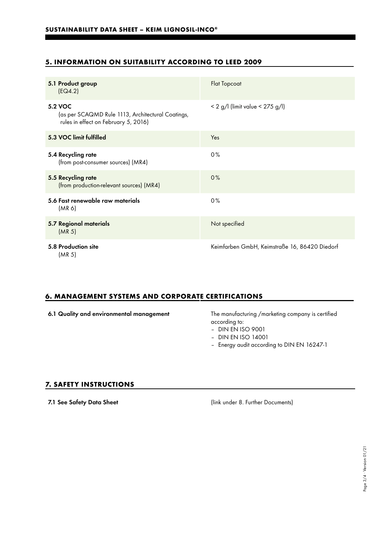## **5. INFORMATION ON SUITABILITY ACCORDING TO LEED 2009**

| 5.1 Product group<br>[EQ4.2]                                                                                | <b>Flat Topcoat</b>                           |  |  |
|-------------------------------------------------------------------------------------------------------------|-----------------------------------------------|--|--|
| <b>5.2 VOC</b><br>(as per SCAQMD Rule 1113, Architectural Coatings,<br>rules in effect on February 5, 2016) | $< 2$ g/l (limit value $< 275$ g/l)           |  |  |
| 5.3 VOC limit fulfilled                                                                                     | Yes                                           |  |  |
| 5.4 Recycling rate<br>(from post-consumer sources) (MR4)                                                    | 0%                                            |  |  |
| 5.5 Recycling rate<br>(from production-relevant sources) (MR4)                                              | 0%                                            |  |  |
| 5.6 Fast renewable raw materials<br>(MR <sub>6</sub> )                                                      | 0%                                            |  |  |
| 5.7 Regional materials<br>(MR <sub>5</sub> )                                                                | Not specified                                 |  |  |
| 5.8 Production site<br>(MR <sub>5</sub> )                                                                   | Keimfarben GmbH, Keimstraße 16, 86420 Diedorf |  |  |

#### **6. MANAGEMENT SYSTEMS AND CORPORATE CERTIFICATIONS**

|  |  |  | 6.1 Quality and environmental management |  |
|--|--|--|------------------------------------------|--|
|--|--|--|------------------------------------------|--|

The manufacturing /marketing company is certified according to:

- DIN EN ISO 9001
- DIN EN ISO 14001
- Energy audit according to DIN EN 16247-1

#### **7. SAFETY INSTRUCTIONS**

7.1 See Safety Data Sheet (link under 8. Further Documents)